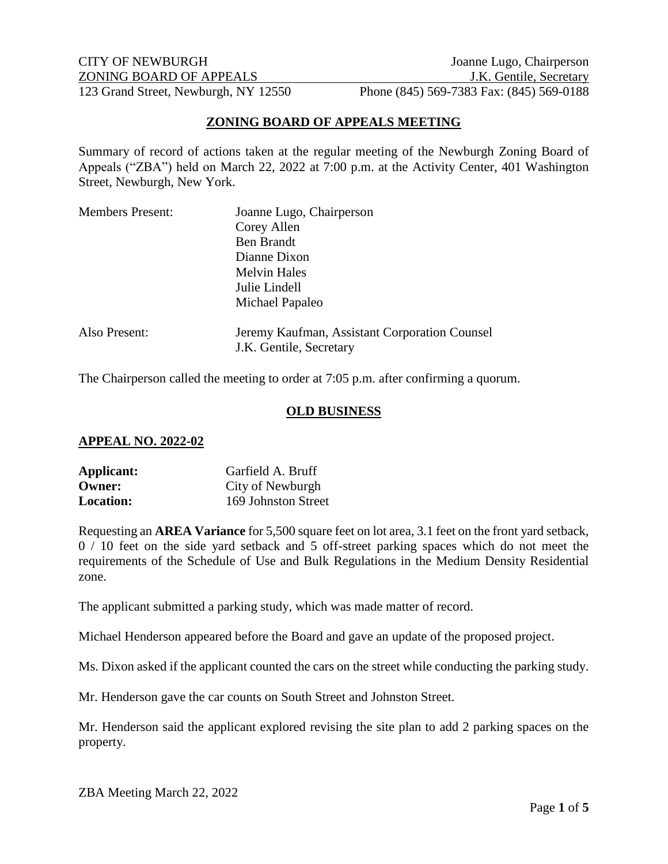CITY OF NEWBURGH Joanne Lugo, Chairperson ZONING BOARD OF APPEALS J.K. Gentile, Secretary 123 Grand Street, Newburgh, NY 12550 Phone (845) 569-7383 Fax: (845) 569-0188

## **ZONING BOARD OF APPEALS MEETING**

Summary of record of actions taken at the regular meeting of the Newburgh Zoning Board of Appeals ("ZBA") held on March 22, 2022 at 7:00 p.m. at the Activity Center, 401 Washington Street, Newburgh, New York.

| <b>Members Present:</b> | Joanne Lugo, Chairperson                      |
|-------------------------|-----------------------------------------------|
|                         | Corey Allen                                   |
|                         | <b>Ben Brandt</b>                             |
|                         | Dianne Dixon                                  |
|                         | <b>Melvin Hales</b>                           |
|                         | Julie Lindell                                 |
|                         | Michael Papaleo                               |
| Also Present:           | Jeremy Kaufman, Assistant Corporation Counsel |
|                         | J.K. Gentile, Secretary                       |

The Chairperson called the meeting to order at 7:05 p.m. after confirming a quorum.

#### **OLD BUSINESS**

#### **APPEAL NO. 2022-02**

| Applicant:       | Garfield A. Bruff   |
|------------------|---------------------|
| Owner:           | City of Newburgh    |
| <b>Location:</b> | 169 Johnston Street |

Requesting an **AREA Variance** for 5,500 square feet on lot area, 3.1 feet on the front yard setback, 0 / 10 feet on the side yard setback and 5 off-street parking spaces which do not meet the requirements of the Schedule of Use and Bulk Regulations in the Medium Density Residential zone.

The applicant submitted a parking study, which was made matter of record.

Michael Henderson appeared before the Board and gave an update of the proposed project.

Ms. Dixon asked if the applicant counted the cars on the street while conducting the parking study.

Mr. Henderson gave the car counts on South Street and Johnston Street.

Mr. Henderson said the applicant explored revising the site plan to add 2 parking spaces on the property.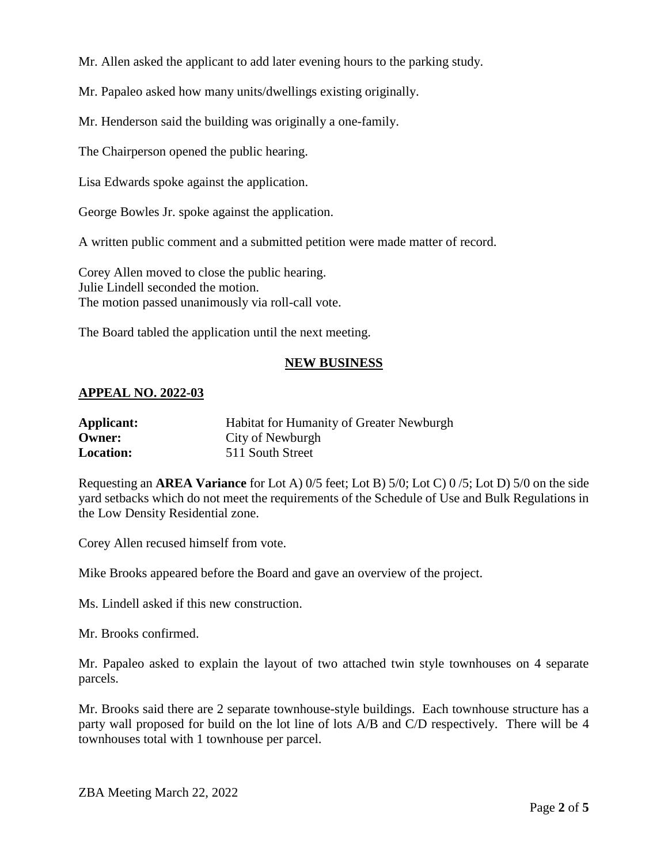Mr. Allen asked the applicant to add later evening hours to the parking study.

Mr. Papaleo asked how many units/dwellings existing originally.

Mr. Henderson said the building was originally a one-family.

The Chairperson opened the public hearing.

Lisa Edwards spoke against the application.

George Bowles Jr. spoke against the application.

A written public comment and a submitted petition were made matter of record.

Corey Allen moved to close the public hearing. Julie Lindell seconded the motion. The motion passed unanimously via roll-call vote.

The Board tabled the application until the next meeting.

# **NEW BUSINESS**

## **APPEAL NO. 2022-03**

| Applicant:       | <b>Habitat for Humanity of Greater Newburgh</b> |
|------------------|-------------------------------------------------|
| Owner:           | City of Newburgh                                |
| <b>Location:</b> | 511 South Street                                |

Requesting an **AREA Variance** for Lot A) 0/5 feet; Lot B) 5/0; Lot C) 0 /5; Lot D) 5/0 on the side yard setbacks which do not meet the requirements of the Schedule of Use and Bulk Regulations in the Low Density Residential zone.

Corey Allen recused himself from vote.

Mike Brooks appeared before the Board and gave an overview of the project.

Ms. Lindell asked if this new construction.

Mr. Brooks confirmed.

Mr. Papaleo asked to explain the layout of two attached twin style townhouses on 4 separate parcels.

Mr. Brooks said there are 2 separate townhouse-style buildings. Each townhouse structure has a party wall proposed for build on the lot line of lots A/B and C/D respectively. There will be 4 townhouses total with 1 townhouse per parcel.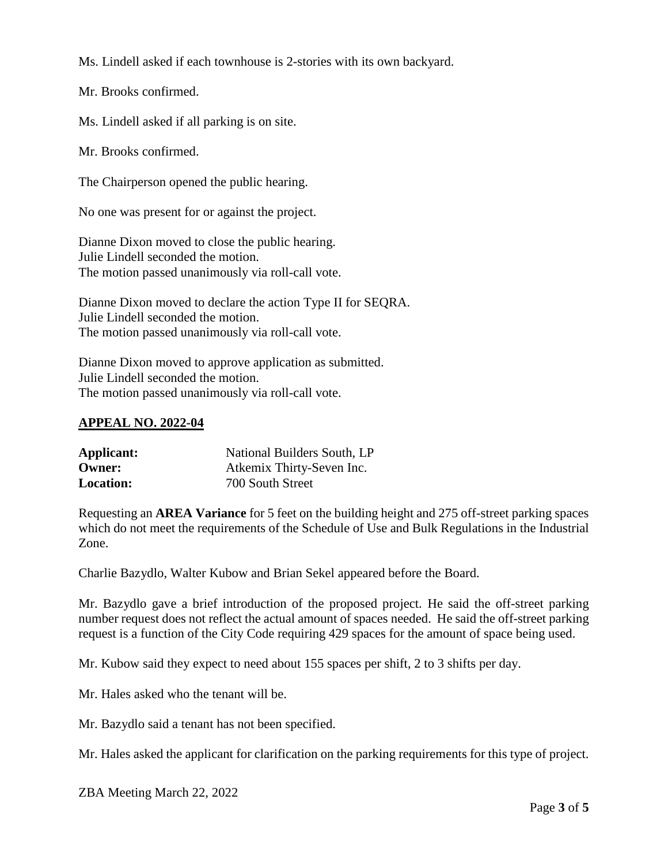Ms. Lindell asked if each townhouse is 2-stories with its own backyard.

Mr. Brooks confirmed.

Ms. Lindell asked if all parking is on site.

Mr. Brooks confirmed.

The Chairperson opened the public hearing.

No one was present for or against the project.

Dianne Dixon moved to close the public hearing. Julie Lindell seconded the motion. The motion passed unanimously via roll-call vote.

Dianne Dixon moved to declare the action Type II for SEQRA. Julie Lindell seconded the motion. The motion passed unanimously via roll-call vote.

Dianne Dixon moved to approve application as submitted. Julie Lindell seconded the motion. The motion passed unanimously via roll-call vote.

# **APPEAL NO. 2022-04**

| Applicant:       | National Builders South, LP |
|------------------|-----------------------------|
| Owner:           | Atkemix Thirty-Seven Inc.   |
| <b>Location:</b> | 700 South Street            |

Requesting an **AREA Variance** for 5 feet on the building height and 275 off-street parking spaces which do not meet the requirements of the Schedule of Use and Bulk Regulations in the Industrial Zone.

Charlie Bazydlo, Walter Kubow and Brian Sekel appeared before the Board.

Mr. Bazydlo gave a brief introduction of the proposed project. He said the off-street parking number request does not reflect the actual amount of spaces needed. He said the off-street parking request is a function of the City Code requiring 429 spaces for the amount of space being used.

Mr. Kubow said they expect to need about 155 spaces per shift, 2 to 3 shifts per day.

Mr. Hales asked who the tenant will be.

Mr. Bazydlo said a tenant has not been specified.

Mr. Hales asked the applicant for clarification on the parking requirements for this type of project.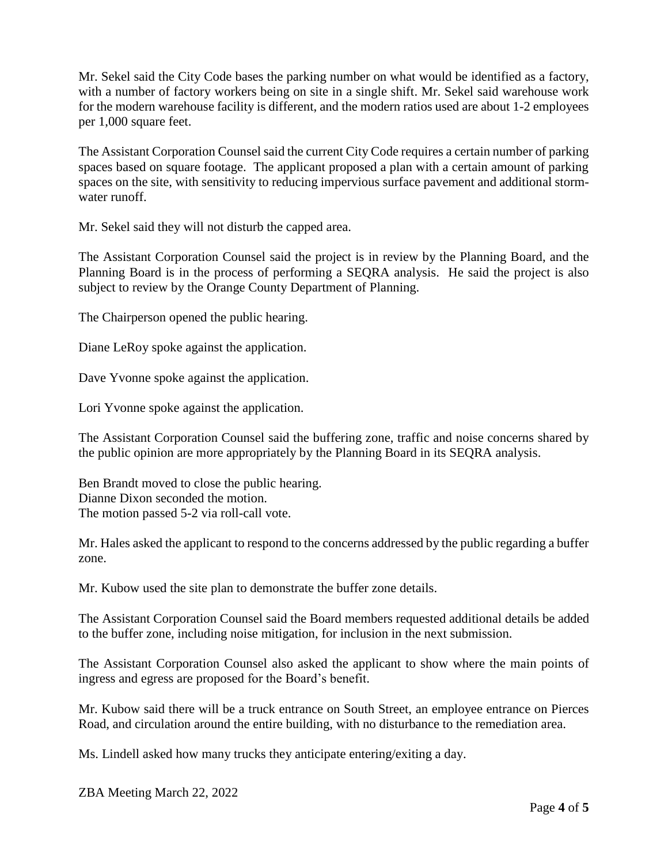Mr. Sekel said the City Code bases the parking number on what would be identified as a factory, with a number of factory workers being on site in a single shift. Mr. Sekel said warehouse work for the modern warehouse facility is different, and the modern ratios used are about 1-2 employees per 1,000 square feet.

The Assistant Corporation Counsel said the current City Code requires a certain number of parking spaces based on square footage. The applicant proposed a plan with a certain amount of parking spaces on the site, with sensitivity to reducing impervious surface pavement and additional stormwater runoff.

Mr. Sekel said they will not disturb the capped area.

The Assistant Corporation Counsel said the project is in review by the Planning Board, and the Planning Board is in the process of performing a SEQRA analysis. He said the project is also subject to review by the Orange County Department of Planning.

The Chairperson opened the public hearing.

Diane LeRoy spoke against the application.

Dave Yvonne spoke against the application.

Lori Yvonne spoke against the application.

The Assistant Corporation Counsel said the buffering zone, traffic and noise concerns shared by the public opinion are more appropriately by the Planning Board in its SEQRA analysis.

Ben Brandt moved to close the public hearing. Dianne Dixon seconded the motion. The motion passed 5-2 via roll-call vote.

Mr. Hales asked the applicant to respond to the concerns addressed by the public regarding a buffer zone.

Mr. Kubow used the site plan to demonstrate the buffer zone details.

The Assistant Corporation Counsel said the Board members requested additional details be added to the buffer zone, including noise mitigation, for inclusion in the next submission.

The Assistant Corporation Counsel also asked the applicant to show where the main points of ingress and egress are proposed for the Board's benefit.

Mr. Kubow said there will be a truck entrance on South Street, an employee entrance on Pierces Road, and circulation around the entire building, with no disturbance to the remediation area.

Ms. Lindell asked how many trucks they anticipate entering/exiting a day.

ZBA Meeting March 22, 2022